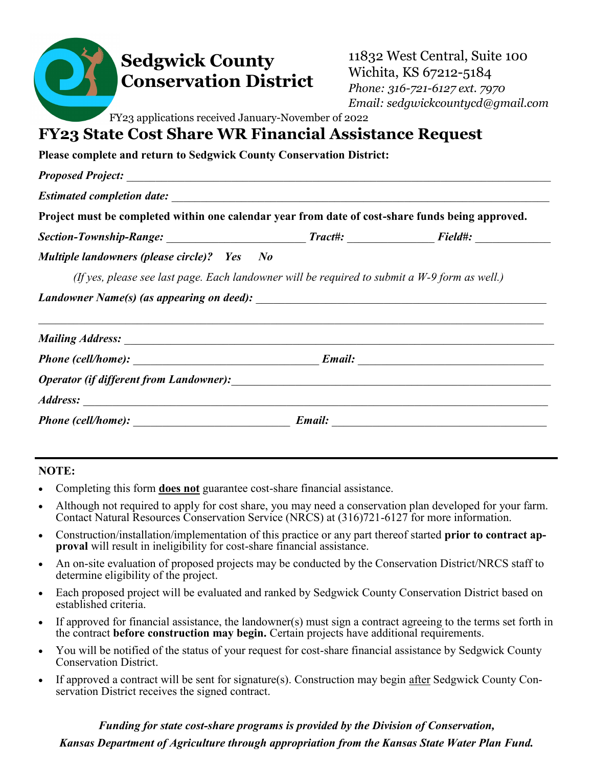| <b>Sedgwick County</b><br><b>Conservation District</b><br>FY23 applications received January-November of 2022<br><b>FY23 State Cost Share WR Financial Assistance Request</b> | 11832 West Central, Suite 100<br>Wichita, KS 67212-5184<br>Phone: 316-721-6127 ext. 7970<br>Email: sedgwickcountycd@gmail.com |  |  |  |
|-------------------------------------------------------------------------------------------------------------------------------------------------------------------------------|-------------------------------------------------------------------------------------------------------------------------------|--|--|--|
| Please complete and return to Sedgwick County Conservation District:                                                                                                          |                                                                                                                               |  |  |  |
|                                                                                                                                                                               |                                                                                                                               |  |  |  |
|                                                                                                                                                                               |                                                                                                                               |  |  |  |
| Project must be completed within one calendar year from date of cost-share funds being approved.                                                                              |                                                                                                                               |  |  |  |
|                                                                                                                                                                               |                                                                                                                               |  |  |  |
| Multiple landowners (please circle)? Yes No                                                                                                                                   |                                                                                                                               |  |  |  |
| (If yes, please see last page. Each landowner will be required to submit a $W-9$ form as well.)                                                                               |                                                                                                                               |  |  |  |
|                                                                                                                                                                               |                                                                                                                               |  |  |  |
|                                                                                                                                                                               |                                                                                                                               |  |  |  |
|                                                                                                                                                                               |                                                                                                                               |  |  |  |
|                                                                                                                                                                               |                                                                                                                               |  |  |  |
|                                                                                                                                                                               |                                                                                                                               |  |  |  |
|                                                                                                                                                                               |                                                                                                                               |  |  |  |

**NOTE:**

- Completing this form **does not** guarantee cost-share financial assistance.
- Although not required to apply for cost share, you may need a conservation plan developed for your farm. Contact Natural Resources Conservation Service (NRCS) at (316)721-6127 for more information.
- Construction/installation/implementation of this practice or any part thereof started **prior to contract approval** will result in ineligibility for cost-share financial assistance.
- An on-site evaluation of proposed projects may be conducted by the Conservation District/NRCS staff to determine eligibility of the project.
- Each proposed project will be evaluated and ranked by Sedgwick County Conservation District based on established criteria.
- If approved for financial assistance, the landowner(s) must sign a contract agreeing to the terms set forth in the contract **before construction may begin.** Certain projects have additional requirements.
- You will be notified of the status of your request for cost-share financial assistance by Sedgwick County Conservation District.
- If approved a contract will be sent for signature(s). Construction may begin after Sedgwick County Conservation District receives the signed contract.

*Funding for state cost-share programs is provided by the Division of Conservation, Kansas Department of Agriculture through appropriation from the Kansas State Water Plan Fund.*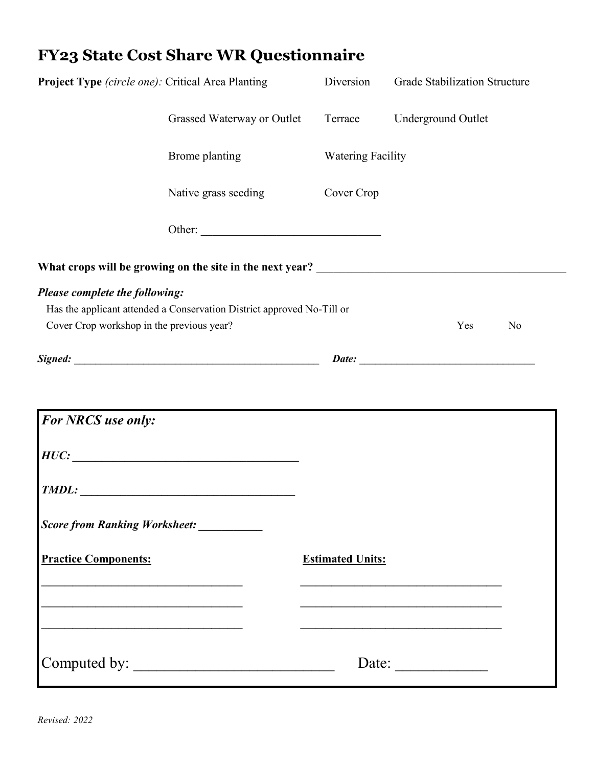## **FY23 State Cost Share WR Questionnaire**

| Project Type (circle one): Critical Area Planting                           |                                                                        | Diversion                | <b>Grade Stabilization Structure</b> |
|-----------------------------------------------------------------------------|------------------------------------------------------------------------|--------------------------|--------------------------------------|
|                                                                             | Grassed Waterway or Outlet                                             | Terrace                  | Underground Outlet                   |
|                                                                             | Brome planting                                                         | <b>Watering Facility</b> |                                      |
|                                                                             | Native grass seeding                                                   | Cover Crop               |                                      |
|                                                                             | Other:                                                                 |                          |                                      |
|                                                                             |                                                                        |                          |                                      |
| Please complete the following:<br>Cover Crop workshop in the previous year? | Has the applicant attended a Conservation District approved No-Till or |                          | Yes<br>No                            |
|                                                                             |                                                                        |                          |                                      |
| <b>For NRCS</b> use only:                                                   |                                                                        |                          |                                      |
|                                                                             | HUC:                                                                   |                          |                                      |
|                                                                             | $\textit{TMDL}:$                                                       |                          |                                      |
| Score from Ranking Worksheet: _________                                     |                                                                        |                          |                                      |
| <b>Practice Components:</b>                                                 |                                                                        | <b>Estimated Units:</b>  |                                      |
|                                                                             |                                                                        |                          |                                      |
|                                                                             |                                                                        |                          |                                      |
|                                                                             |                                                                        |                          | Date: $\qquad \qquad$                |